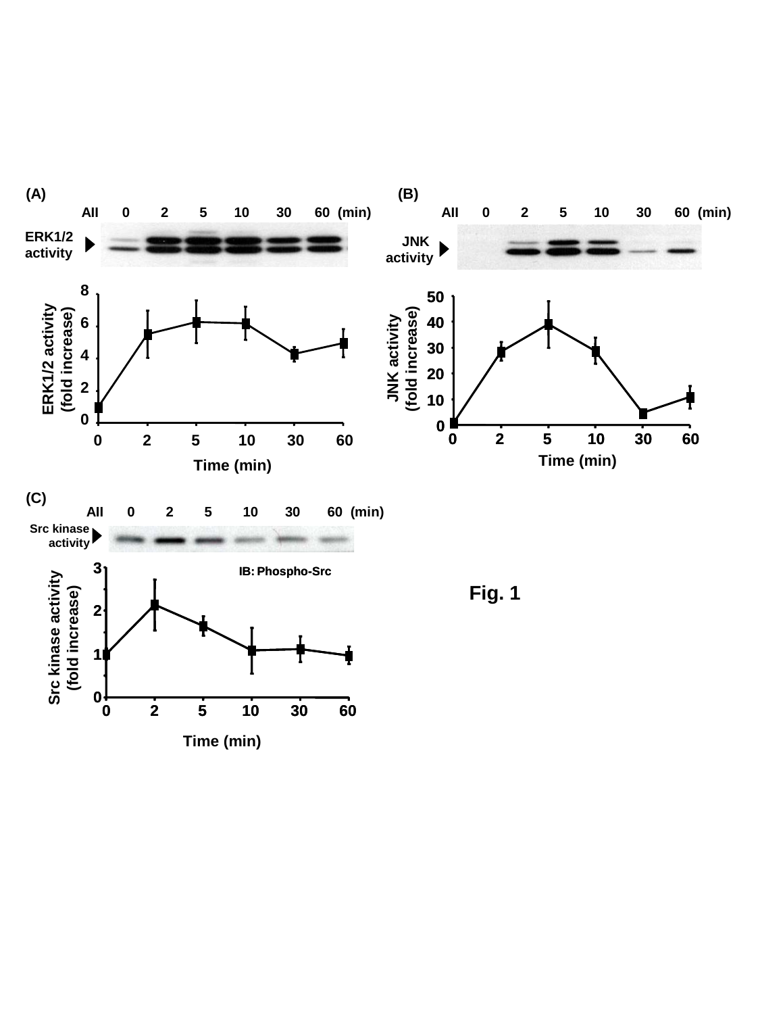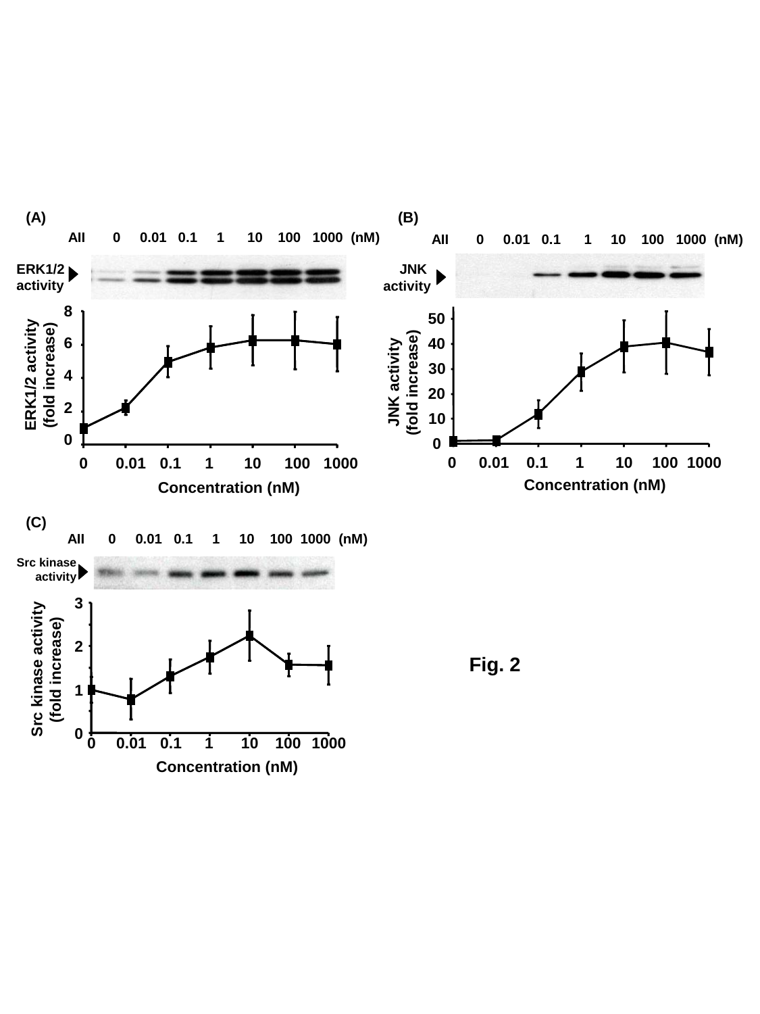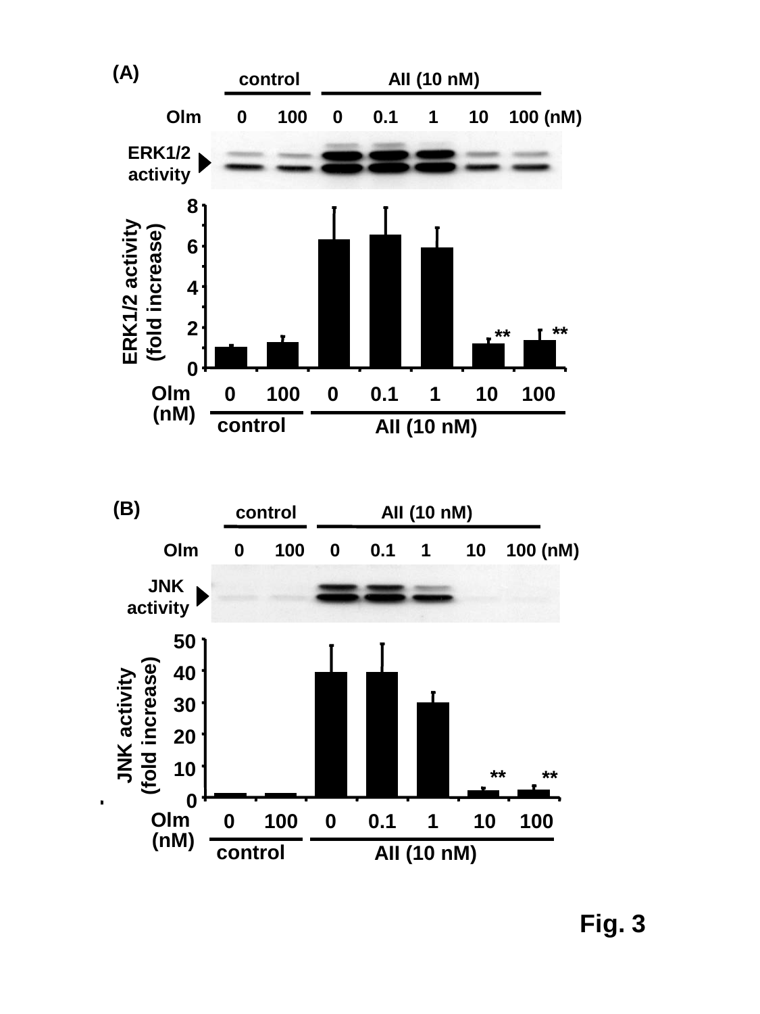



**Fig. 3**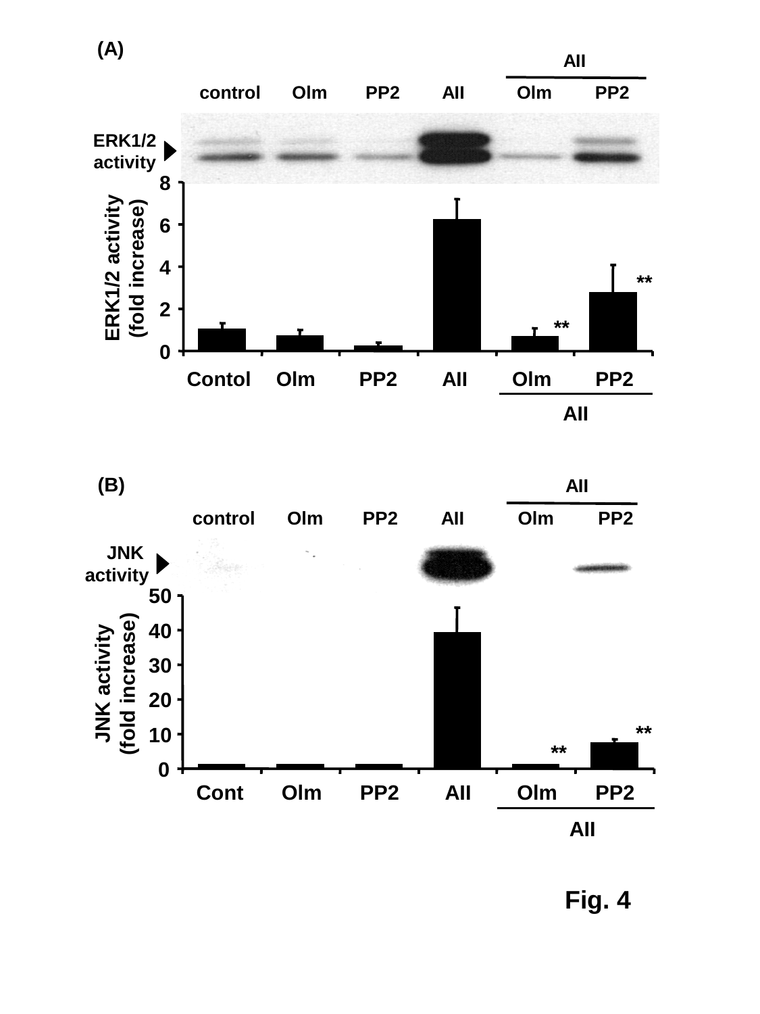



**Fig. 4**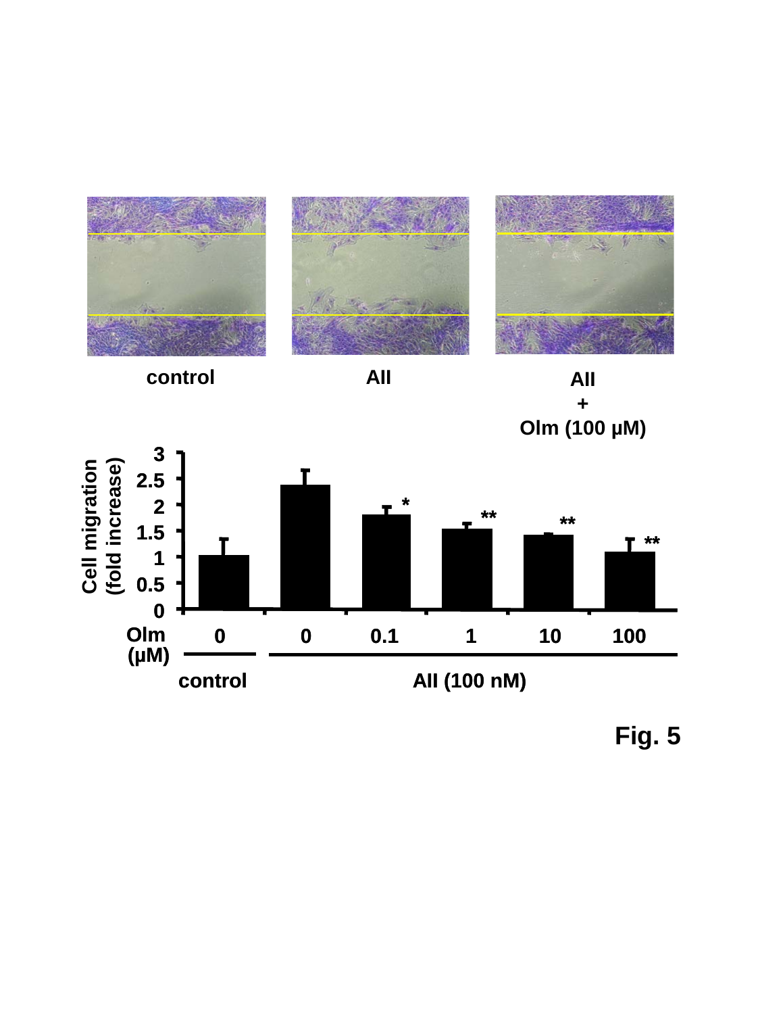



**+ Olm (100 µM)**